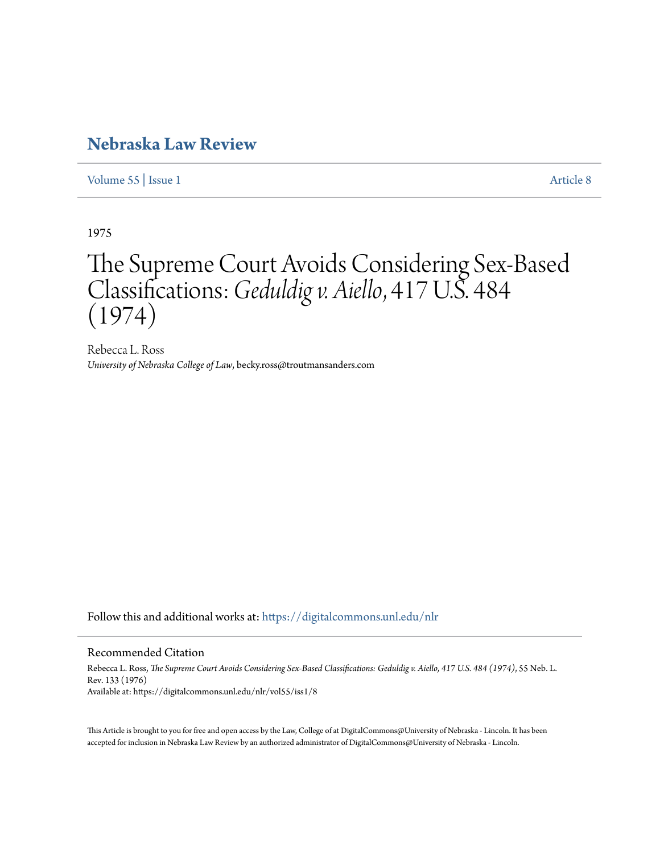## **[Nebraska Law Review](https://digitalcommons.unl.edu/nlr?utm_source=digitalcommons.unl.edu%2Fnlr%2Fvol55%2Fiss1%2F8&utm_medium=PDF&utm_campaign=PDFCoverPages)**

[Volume 55](https://digitalcommons.unl.edu/nlr/vol55?utm_source=digitalcommons.unl.edu%2Fnlr%2Fvol55%2Fiss1%2F8&utm_medium=PDF&utm_campaign=PDFCoverPages) | [Issue 1](https://digitalcommons.unl.edu/nlr/vol55/iss1?utm_source=digitalcommons.unl.edu%2Fnlr%2Fvol55%2Fiss1%2F8&utm_medium=PDF&utm_campaign=PDFCoverPages) [Article 8](https://digitalcommons.unl.edu/nlr/vol55/iss1/8?utm_source=digitalcommons.unl.edu%2Fnlr%2Fvol55%2Fiss1%2F8&utm_medium=PDF&utm_campaign=PDFCoverPages)

1975

# The Supreme Court Avoids Considering Sex-Based Classifications: *Geduldig v. Aiello*, 417 U.S. 484 (1974)

Rebecca L. Ross *University of Nebraska College of Law*, becky.ross@troutmansanders.com

Follow this and additional works at: [https://digitalcommons.unl.edu/nlr](https://digitalcommons.unl.edu/nlr?utm_source=digitalcommons.unl.edu%2Fnlr%2Fvol55%2Fiss1%2F8&utm_medium=PDF&utm_campaign=PDFCoverPages)

#### Recommended Citation

Rebecca L. Ross, *The Supreme Court Avoids Considering Sex-Based Classifications: Geduldig v. Aiello, 417 U.S. 484 (1974)*, 55 Neb. L. Rev. 133 (1976) Available at: https://digitalcommons.unl.edu/nlr/vol55/iss1/8

This Article is brought to you for free and open access by the Law, College of at DigitalCommons@University of Nebraska - Lincoln. It has been accepted for inclusion in Nebraska Law Review by an authorized administrator of DigitalCommons@University of Nebraska - Lincoln.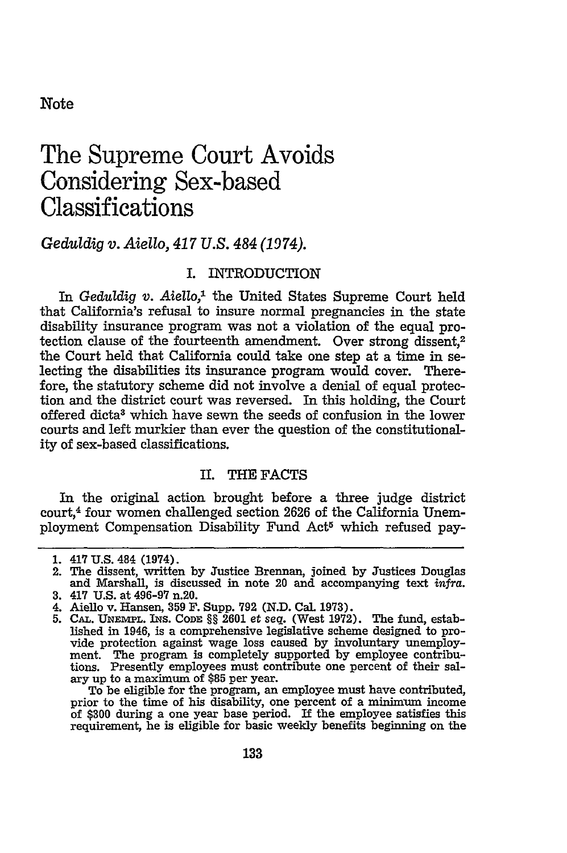### Note

# The Supreme Court Avoids Considering Sex-based Classifications

## *Geduldig v. Aiello, 417 U.S. 484 (1974).*

#### I. INTRODUCTION

In *Geduldig v. Aielo,1* the United States Supreme Court held that California's refusal to insure normal pregnancies in the state disability insurance program was not a violation of the equal protection clause of the fourteenth amendment. Over strong dissent,<sup>2</sup> the Court held that California could take one step at a time in selecting the disabilities its insurance program would cover. Therefore, the statutory scheme did not involve a denial of equal protection and the district court was reversed. In this holding, the Court offered dicta3 which have sewn the seeds of confusion in the lower courts and left murkier than ever the question of the constitutionality of sex-based classifications.

#### **II.** THE **FACTS**

In the original action brought before a three judge district court,4 four women challenged section **2626** of the California Unemployment Compensation Disability Fund Act5 which refused pay-

To be eligible for the program, an employee must have contributed, prior to the time of his disability, one percent of a minimum income of **\$300** during a one year base period. **If** the employee satisfies this requirement, he is eligible for basic weekly benefits beginning on the

**<sup>1.</sup>** 417 **U.S.** 484 (1974).

<sup>2.</sup> The dissent, written by Justice Brennan, joined **by** Justices Douglas and Marshall, is discussed in note 20 and accompanying text *infra.*

**<sup>3.</sup>** 417 **U.S.** at **496-97** n.20.

<sup>4.</sup> Aiello v. Hansen, **359 F.** Supp. 792 **(N.D.** Cal. **1973).**

**<sup>5.</sup> CAL. UNEmPL.** INs. CoDE §§ 2601 et *seq.* (West **1972).** The fund, established in 1946, is a comprehensive legislative scheme designed to provide protection against wage loss caused **by** involuntary unemployment. The program is completely supported **by** employee contributions. Presently employees must contribute one percent of their salary up to a maximum of **\$85** per year.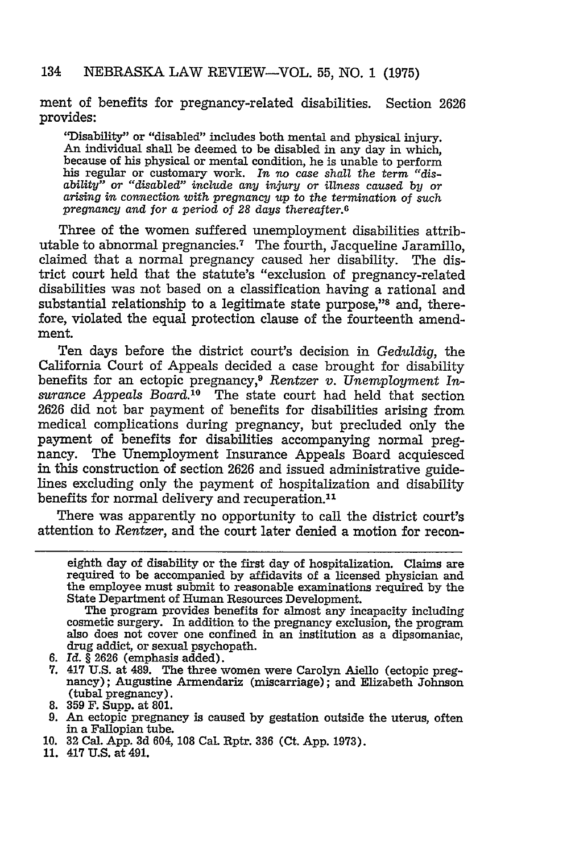#### 134 NEBRASKA LAW REVIEW-VOL. **55,** NO. **1 (1975)**

ment of benefits for pregnancy-related disabilities. Section 2626 provides:

'Disability" or "disabled" includes both mental and physical injury. An individual shall be deemed to be disabled in any day in which, his regular or customary work. In no case shall the term "dis*ability" or "disabled" include any injury or illness caused by or arising in* connection *with pregnancy up to the termination of such pregnancy and for a period of 28 days thereafter.6*

Three of the women suffered unemployment disabilities attributable to abnormal pregnancies.<sup> $7$ </sup> The fourth, Jacqueline Jaramillo, claimed that a normal pregnancy caused her disability. The district court held that the statute's "exclusion of pregnancy-related disabilities was not based on a classification having a rational and substantial relationship to a legitimate state purpose,"<sup>8</sup> and, therefore, violated the equal protection clause of the fourteenth amendment.

Ten days before the district court's decision in *Geduldig,* the California Court of Appeals decided a case brought for disability benefits for an ectopic pregnancy,<sup>9</sup> Rentzer *v*. Unemployment In*surance Appeals Board.10* The state court had held that section 2626 did not bar payment of benefits for disabilities arising from medical complications during pregnancy, but precluded only the payment of benefits for disabilities accompanying normal pregnancy. The Unemployment Insurance Appeals Board acquiesced in this construction of section 2626 and issued administrative guidelines excluding only the payment of hospitalization and disability benefits for normal delivery and recuperation.11

There was apparently no opportunity to call the district court's attention to *Rentzer,* and the court later denied a motion for recon-

- 
- 6. *Id.* § 2626 (emphasis added). **7.** 417 U.S. at 489. The three women were Carolyn Aiello (ectopic preg- nancy); Augustine Armendariz (miscarriage); and Elizabeth Johnson (tubal pregnancy).
- 8. **359** F. Supp. at 801.
- 9. An ectopic pregnancy is caused by gestation outside the uterus, often in a Fallopian tube.
- **10.** 32 Cal. App. **3d** 604, 108 Cal. Rptr. **336** (Ct. App. 1973).
- 11. 417 U.S. at 491.

eighth day of disability or the first day of hospitalization. Claims are required to be accompanied by affidavits of a licensed physician and the employee must submit to reasonable examinations required by the

State Department of Human Resources Development.<br>The program provides benefits for almost any incapacity including<br>cosmetic surgery. In addition to the pregnancy exclusion, the program<br>also does not cover one confined in a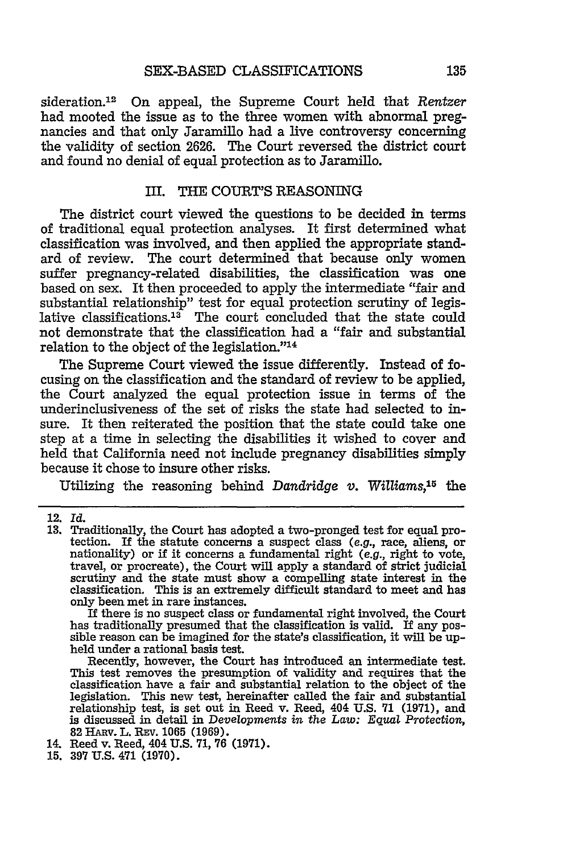sideration.<sup>12</sup> On appeal, the Supreme Court held that *Rentzer* had mooted the issue as to the three women with abnormal pregnancies and that only Jaramillo had a live controversy concerning the validity of section 2626. The Court reversed the district court and found no denial of equal protection as to Jaramillo.

#### III. THE COURT'S REASONING

The district court viewed the questions to be decided in terms of traditional equal protection analyses. It first determined what classification was involved, and then applied the appropriate standard of review. The court determined that because only women suffer pregnancy-related disabilities, the classification was one based on sex. It then proceeded to apply the intermediate "fair and substantial relationship" test for equal protection scrutiny of legislative classifications.<sup>13</sup> The court concluded that the state could not demonstrate that the classification had a "fair and substantial relation to the object of the legislation."<sup>14</sup>

The Supreme Court viewed the issue differently. Instead of focusing on the classification and the standard of review to be applied, the Court analyzed the equal protection issue in terms of the underinclusiveness of the set of risks the state had selected to insure. It then reiterated the position that the state could take one step at a time in selecting the disabilities it wished to cover and held that California need not include pregnancy disabilities simply because it chose to insure other risks.

Utiizing the reasoning behind *Dandridge v. Williams,15* the

If there is no suspect class or fundamental right involved, the Court has traditionally presumed that the classification is valid. If any pos-<br>sible reason can be imagined for the state's classification, it will be upheld under a rational basis test.

Recently, however, the Court has introduced an intermediate test. This test removes the presumption of validity and requires that the classification have a fair and substantial relation to the object of the legislation. This new test, hereinafter called the fair and substantial relationship test, is set out in Reed v. Reed, 404 U.S. 71 (1971), and is discussed in detail in *Developments* in the *Law: Equal Protection,* 82 HARv. L. REv. 1065 **(1969).**

**<sup>12.</sup>** *Id.*

**<sup>13.</sup>** Traditionally, the Court has adopted a two-pronged test for equal protection. If the statute concerns a suspect class (e.g., race, aliens, or nationality) or if it concerns a fundamental right (e.g., right to vote, travel, or procreate), the Court will apply a standard of strict judicial scrutiny and the state must show a compelling state interest in the classification. This is an extremely difficult standard to meet and has only been met in rare instances.

<sup>14.</sup> Reed v. Reed, 404 **U.S.** 71, 76 (1971).

**<sup>15. 397</sup> U.S.** 471 **(1970).**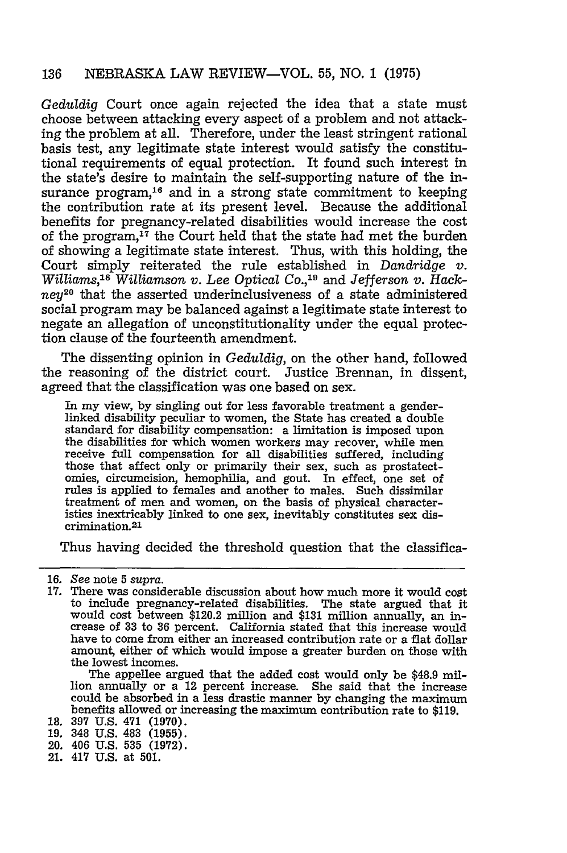#### **136** NEBRASKA LAW REVIEW-VOL. **55, NO. 1 (1975)**

*Geduldig* Court once again rejected the idea that a state must choose between attacking every aspect of a problem and not attacking the problem at all. Therefore, under the least stringent rational basis test, any legitimate state interest would satisfy the constitutional requirements of equal protection. It found such interest in the state's desire to maintain the self-supporting nature of the insurance program, $16$  and in a strong state commitment to keeping the contribution rate at its present level. Because the additional benefits for pregnancy-related disabilities would increase the cost of the program,<sup>17</sup> the Court held that the state had met the burden of showing a legitimate state interest. Thus, with this holding, the -Court simply reiterated the rule established in *Dandridge v.* Williams,<sup>18</sup> Williamson v. Lee Optical Co.,<sup>19</sup> and Jefferson v. Hack*ney <sup>20</sup>*that the asserted underinclusiveness of a state administered social program may be balanced against a legitimate state interest to negate an allegation of unconstitutionality under the equal protection clause of the fourteenth amendment.

The dissenting opinion in *Geduldig,* on the other hand, followed the reasoning of the district court. Justice Brennan, in dissent, agreed that the classification was one based on sex.

In my view, by singling out for less favorable treatment a genderlinked disability peculiar to women, the State has created a double standard for disability compensation: a limitation is imposed upon the disabilities for which women workers may recover, while men receive full compensation for all disabilities suffered, including those that affect only or primarily their sex, such as prostatectomies, circumcision, hemophilia, and gout. In effect, one set of rules is applied to females and another to males. Such dissimilar treatment of men and women, on the basis of physical characteristics inextricably linked to one sex, inevitably constitutes sex discrimination. 21

Thus having decided the threshold question that the classifica-

The appellee argued that the added cost would only be \$48.9 million annually or a 12 percent increase. She said that the increase could be absorbed in a less drastic manner by changing the maximum benefits allowed or increasing the maximum contribution rate to \$119.

<sup>16.</sup> See note 5 supra.

<sup>17.</sup> There was considerable discussion about how much more it would cost to include pregnancy-related disabilities. The state argued that it would cost between \$120.2 million and \$131 million annually, an in- crease of **33** to **36** percent. California stated that this increase would have to come from either an increased contribution rate or a flat dollar amount, either of which would impose a greater burden on those with the lowest incomes.

<sup>18.</sup> **397** U.S. 471 (1970).

<sup>19. 348</sup> U.S. 483 (1955).

<sup>20. 406</sup> U.S. 535 (1972).

<sup>21. 417</sup> **U.S.** at **501.**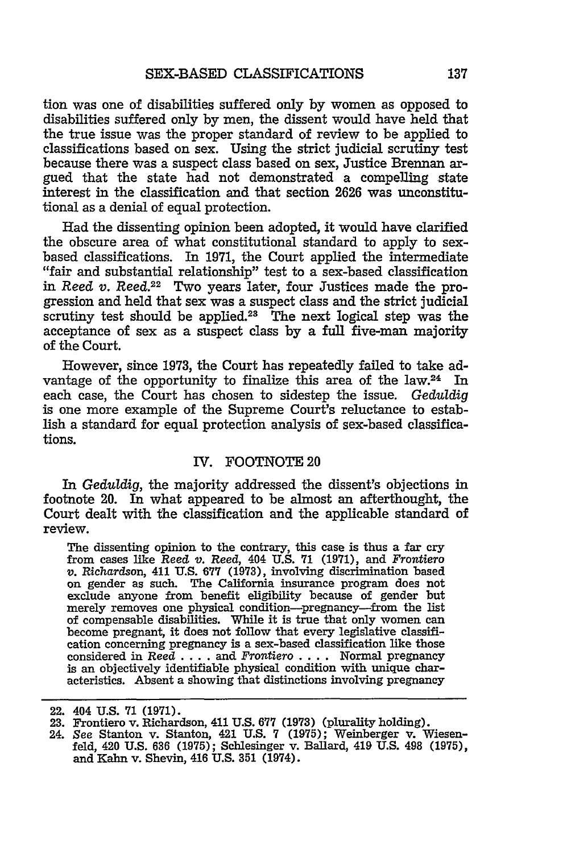tion was one of disabilities suffered only by women as opposed to disabilities suffered only by men, the dissent would have held that the true issue was the proper standard of review to be applied to classifications based on sex. Using the strict judicial scrutiny test because there was a suspect class based on sex, Justice Brennan argued that the state had not demonstrated a compelling state interest in the classification and that section 2626 was unconstitutional as a denial of equal protection.

Had the dissenting opinion been adopted, it would have clarified the obscure area of what constitutional standard to apply to sexbased classifications. In 1971, the Court applied the intermediate "fair and substantial relationship" test to a sex-based classification in *Reed v. Reed.22* Two years later, four Justices made the progression and held that sex was a suspect class and the strict judicial scrutiny test should be applied.<sup>23</sup> The next logical step was the acceptance of sex as a suspect class by a full five-man majority of the Court.

However, since 1973, the Court has repeatedly failed to take advantage of the opportunity to finalize this area of the law.24 In each case, the Court has chosen to sidestep the issue. *Geduldig* is one more example of the Supreme Court's reluctance to establish a standard for equal protection analysis of sex-based classifications.

#### IV. FOOTNOTE 20

In *Geduldig,* the majority addressed the dissent's objections in footnote 20. In what appeared to be almost an afterthought, the Court dealt with the classification and the applicable standard of review.

The dissenting opinion to the contrary, this case is thus a far cry from cases like *Reed v.* Reed, 404 U.S. 71 (1971), and *Frontiero v. Richardson,* 411 U.S. 677 (1973), involving discrimination based on gender as such. The California insurance program does not exclude anyone from benefit eligibility because of gender but merely removes one physical condition-pregnancy-from the list of compensable disabilities. While it is true that only women can become pregnant, it does not follow that every legislative classification concerning pregnancy is a sex-based classification like those considered in *Reed* .... and *Frontiero* .... Normal pregnancy is an objectively identifiable physical condition with unique characteristics. Absent a showing that distinctions involving pregnancy

<sup>22. 404</sup> U.S. 71 (1971).

<sup>23.</sup> Frontiero v. Richardson, 411 **U.S.** 677 (1973) (plurality holding).

<sup>24.</sup> *See* Stanton v. Stanton, 421 U.S. **7** (1975); Weinberger v. Wiesenfeld, 420 U.S. 636 (1975); Schlesinger v. Ballard, 419 U.S. 498 (1975), and Kahn v. Shevin, 416 U.S. 351 (1974).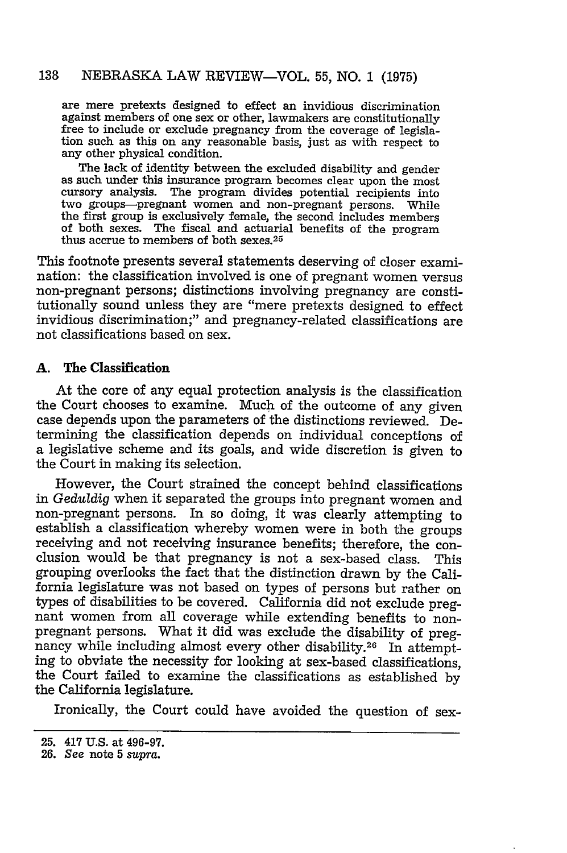are mere pretexts designed to effect an invidious discrimination against members of one sex or other, lawmakers are constitutionally free to include or exclude pregnancy from the coverage of legisla- tion such as this on any reasonable basis, just as with respect to any other physical condition.

The lack of identity between the excluded disability and gender as such under this insurance program becomes clear upon the most cursory analysis. The program divides potential recipients into two groups-pregnant women and non-pregnant persons. While the first group is exclusively female, the second includes members of both sexes. The fiscal and actuarial benefits of the program thus accrue to members of both sexes.<sup>25</sup>

This footnote presents several statements deserving of closer examination: the classification involved is one of pregnant women versus non-pregnant persons; distinctions involving pregnancy are constitutionally sound unless they are "mere pretexts designed to effect invidious discrimination;" and pregnancy-related classifications are not classifications based on sex.

#### **A.** The Classification

At the core of any equal protection analysis is the classification the Court chooses to examine. Much of the outcome of any given case depends upon the parameters of the distinctions reviewed. Determining the classification depends on individual conceptions of a legislative scheme and its goals, and wide discretion is given to the Court in making its selection.

However, the Court strained the concept behind classifications in *Geduldig* when it separated the groups into pregnant women and non-pregnant persons. In so doing, it was clearly attempting to establish a classification whereby women were in both the groups receiving and not receiving insurance benefits; therefore, the conclusion would be that pregnancy is not a sex-based class. This grouping overlooks the fact that the distinction drawn by the California legislature was not based on types of persons but rather on types of disabilities to be covered. California did not exclude pregnant women from all coverage while extending benefits to nonpregnant persons. What it did was exclude the disability of pregnancy while including almost every other disability.<sup>26</sup> In attempting to obviate the necessity for looking at sex-based classifications, the Court failed to examine the classifications as established by the California legislature.

Ironically, the Court could have avoided the question of sex-

**<sup>25.</sup>** 417 U.S. at 496-97.

**<sup>26.</sup>** *See* note **5** *supra.*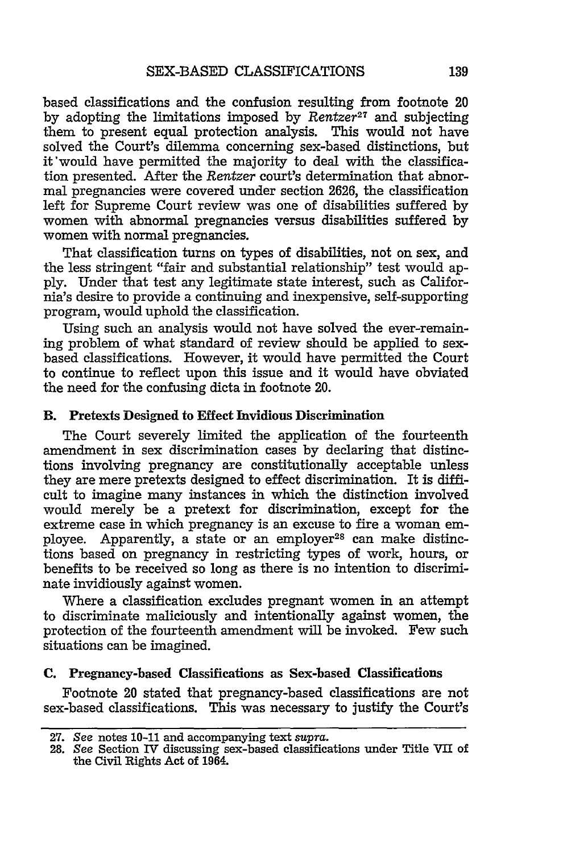based classifications and the confusion resulting from footnote 20 by adopting the limitations imposed by *Rentzer*<sup>27</sup> and subjecting them to present equal protection analysis. This would not have solved the Court's dilemma concerning sex-based distinctions, but it'would have permitted the majority to deal with the classification presented. After the *Rentzer* court's determination that abnormal pregnancies were covered under section 2626, the classification left for Supreme Court review was one of disabilities suffered by women with abnormal pregnancies versus disabilities suffered by women with normal pregnancies.

That classification turns on types of disabilities, not on sex, and the less stringent "fair and substantial relationship" test would apply. Under that test any legitimate state interest, such as California's desire to provide a continuing and inexpensive, self-supporting program, would uphold the classification.

Using such an analysis would not have solved the ever-remaining problem of what standard of review should be applied to sexbased classifications. However, it would have permitted the Court to continue to reflect upon this issue and it would have obviated the need for the confusing dicta in footnote 20.

#### B. **Pretexts Designed to Effect Invidious Discrimination**

The Court severely limited the application of the fourteenth amendment in sex discrimination cases by declaring that distinctions involving pregnancy are constitutionally acceptable unless they are mere pretexts designed to effect discrimination. It is difficult to imagine many instances in which the distinction involved would merely be a pretext for discrimination, except for the extreme case in which pregnancy is an excuse to fire a woman employee. Apparently, a state or an employer<sup>28</sup> can make distinctions based on pregnancy in restricting types of work, hours, or benefits to be received so long as there is no intention to discriminate invidiously against women.

Where a classification excludes pregnant women in an attempt to discriminate maliciously and intentionally against women, the protection of the fourteenth amendment will be invoked. Few such situations can be imagined.

#### **C. Pregnancy-based Classifications as Sex-based Classifications**

Footnote 20 stated that pregnancy-based classifications are not sex-based classifications. This was necessary to justify the Court's

<sup>27.</sup> See notes 10-11 and accompanying text supra.

<sup>28.</sup> See Section IV discussing sex-based classifications under Title VII of the Civil Rights Act of 1964.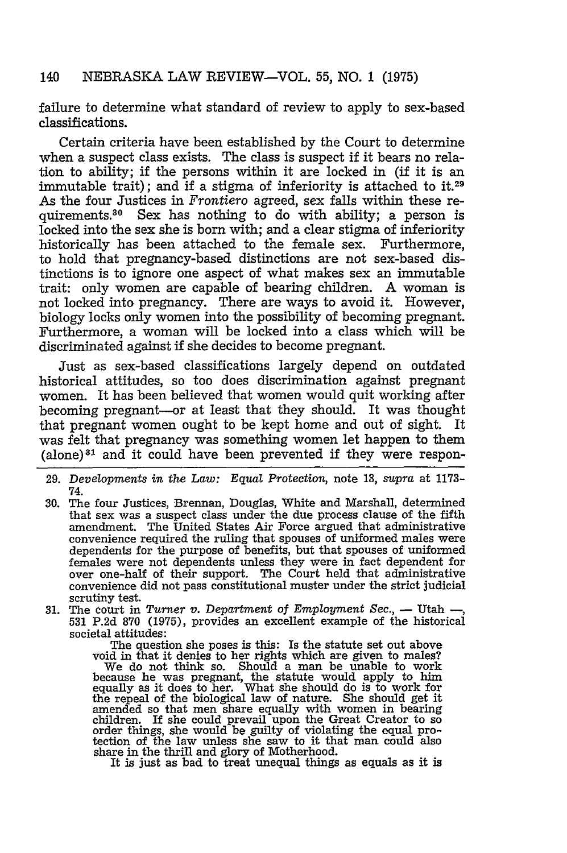failure to determine what standard of review to apply to sex-based classifications.

Certain criteria have been established by the Court to determine when a suspect class exists. The class is suspect if it bears no relation to ability; if the persons within it are locked in (if it is an immutable trait); and if a stigma of inferiority is attached to it.<sup>29</sup> As the four Justices in *Frontiero* agreed, sex falls within these requirements.30 Sex has nothing to do with ability; a person is locked into the sex she is born with; and a clear stigma of inferiority historically has been attached to the female sex. Furthermore, to hold that pregnancy-based distinctions are not sex-based distinctions is to ignore one aspect of what makes sex an immutable trait: only women are capable of bearing children. A woman is not locked into pregnancy. There are ways to avoid it. However, biology locks only women into the possibility of becoming pregnant. Furthermore, a woman will be locked into a class which will be discriminated against if she decides to become pregnant.

Just as sex-based classifications largely depend on outdated historical attitudes, so too does discrimination against pregnant women. It has been believed that women would quit working after becoming pregnant--or at least that they should. It was thought that pregnant women ought to be kept home and out of sight. It was felt that pregnancy was something women let happen to them  $(alone)^{31}$  and it could have been prevented if they were respon-

- 29. *Developments in the Law: Equal Protection,* note 13, *supra* at 1173- 74.
- 30. The four Justices, Brennan, Douglas, White and Marshall, determined that sex was a suspect class under the due process clause of the fifth amendment. The United States Air Force argued that administrative convenience required the ruling that spouses of uniformed males were dependents for the purpose of benefits, but that spouses of uniformed females were not dependents unless they were in fact dependent for over one-half of their support. The Court held that administrative convenience did not pass constitutional muster under the strict judicial scrutiny test.
- 31. The court in *Turner v. Department* of *Employment Sec.,* Utah -531 P.2d 870 (1975), provides an excellent example of the historical societal attitudes:

The question she poses is this: Is the statute set out above void in that it denies to her rights which are given to males? We do not think so. Should a man be unable to work because he was pregnant, the statute would apply to him equally as it does to her. What she should do is to work for the repeal of the biological law of nature. She should get it amended so that men share equally with women in bearing children. If she could prevail upon the Great Creator to so order things, she would be guilty of violating the equal pro- tection of the law unless she saw to it that man could also share in the thrill and glory of Motherhood.

It is just as bad to treat unequal things as equals as it is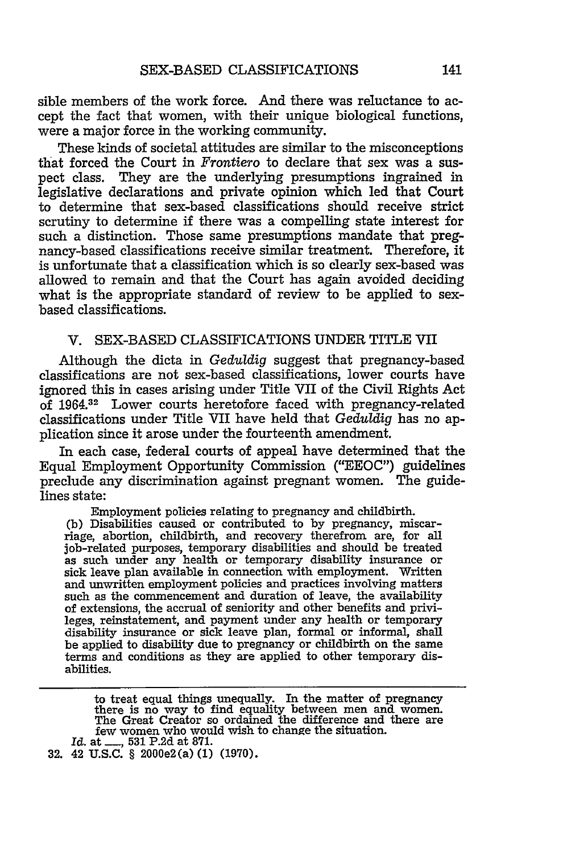sible members of the work force. And there was reluctance to accept the fact that women, with their unique biological functions, were a major force in the working community.

These kinds of societal attitudes are similar to the misconceptions that forced the Court in *Frontiero* to declare that sex was a suspect class. They are the underlying presumptions ingrained in legislative declarations and private opinion which led that Court to determine that sex-based classifications should receive strict scrutiny to determine if there was a compelling state interest for such a distinction. Those same presumptions mandate that pregnancy-based classifications receive similar treatment. Therefore, it is unfortunate that a classification which is so clearly sex-based was allowed to remain and that the Court has again avoided deciding what is the appropriate standard of review to be applied to sexbased classifications.

#### V. **SEX-BASED** CLASSIFICATIONS **UNDER** TITLE VII

Although the dicta in *Geduldig* suggest that pregnancy-based classifications are not sex-based classifications, lower courts have ignored this in cases arising under Title VII of the Civil Rights Act of 1964.32 Lower courts heretofore faced with pregnancy-related classifications under Title VII have held that *Geduldig* has no application since it arose under the fourteenth amendment.

In each case, federal courts of appeal have determined that the Equal Employment Opportunity Commission ("EEOC") guidelines preclude any discrimination against pregnant women. The guidelines state:

Employment policies relating to pregnancy and childbirth.

(b) Disabilities caused or contributed to by pregnancy, miscarriage, abortion, childbirth, and recovery therefrom are, for all job-related purposes, temporary disabilities and should be treated as such under any health or temporary disability insurance or sick leave plan available in connection with employment. Written and unwritten employment policies and practices involving matters such as the commencement and duration of leave, the availability of extensions, the accrual of seniority and other benefits and privileges, reinstatement, and payment under any health or temporary disability insurance or sick leave plan, formal or informal, shall be applied to disability due to pregnancy or childbirth on the same terms and conditions as they are applied to other temporary disabilities.

to treat equal things unequally. In the matter of pregnancy there is no way to find equality between men and women. The Great Creator so ordained the difference and there are few women who would wish to change the situation. *Id.* at **\_,** 531 P.2d at 871.

32. 42 U.S.C. § 2000e2 (a) (1) (1970).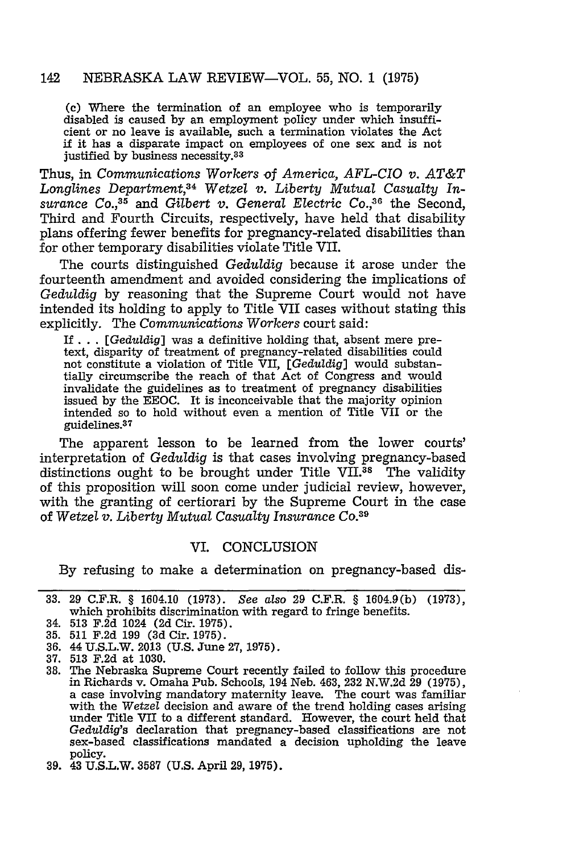#### 142 NEBRASKA LAW REVIEW-VOL. 55, NO. **1 (1975)**

**(c)** Where the termination of an employee who is temporarily disabled is caused **by** an employment policy under which insufficient or no leave is available, such a termination violates the Act if it has a disparate impact on employees of one sex and is not justified by business necessity.<sup>33</sup>

Thus, in *Communications Workers* of *America, AFL-CIO v. AT&T* Longlines Department,<sup>34</sup> Wetzel v. Liberty Mutual Casualty In*surance Co.,35* and *Gilbert v. General Electric Co.,26* the Second, Third and Fourth Circuits, respectively, have held that disability plans offering fewer benefits for pregnancy-related disabilities than for other temporary disabilities violate Title VII.

The courts distinguished *Geduldig* because it arose under the fourteenth amendment and avoided considering the implications of *Geduldig* by reasoning that the Supreme Court would not have intended its holding to apply to Title VII cases without stating this explicitly. The *Communications Workers* court said:

If **...** *[Geduldig]* was a definitive holding that, absent mere pretext, disparity of treatment of pregnancy-related disabilities could not constitute a violation of Title VII, *[Geduldig]* would substantially circumscribe the reach of that Act of Congress and would invalidate the guidelines as to treatment of pregnancy disabilities issued by the EEOC. It is inconceivable that the majority opinion intended so to hold without even a mention of Title VII or the guidelines. <sup>37</sup>

The apparent lesson to be learned from the lower courts' interpretation of *Geduldig* is that cases involving pregnancy-based distinctions ought to be brought under Title VII.<sup>38</sup> The validity of this proposition will soon come under judicial review, however, with the granting of certiorari **by** the Supreme Court in the case of *Wetzel v. Liberty Mutual Casualty Insurance Co.39*

#### VI. CONCLUSION

By refusing to make a determination on pregnancy-based dis-

**<sup>33.</sup>** 29 C.F.R. § 1604.10 (1973). *See also* 29 C.F.R. § 1604.9(b) (1973), which prohibits discrimination with regard to fringe benefits.

<sup>34. 513</sup> F.2d 1024 (2d Cir. 1975).

**<sup>35. 511</sup>** F.2d 199 (3d Cir. 1975).

<sup>36. 44</sup> U.S.L.W. 2013 (U.S. June **27,** 1975).

**<sup>37. 513</sup>** F.2d at 1030.

**<sup>38.</sup>** The Nebraska Supreme Court recently failed to follow this procedure in Richards v. Omaha Pub. Schools, 194 Neb. 463, 232 N.W.2d 29 (1975), a case involving mandatory maternity leave. The court was familiar with the *Wetzel* decision and aware of the trend holding cases arising under Title VII to a different standard. However, the court held that *Geduldig's* declaration that pregnancy-based classifications are not sex-based classifications mandated a decision upholding the leave policy.

<sup>39. 43</sup> U.S.L.W. **3587** (U.S. April 29, **1975).**